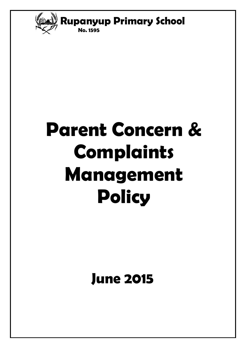

# **Parent Concern & Complaints Management Policy**

# **June 2015**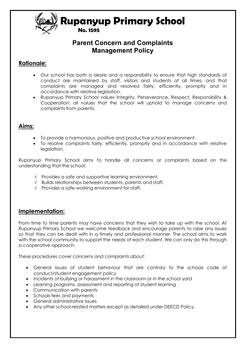

#### **No. 1595**

#### **Parent Concern and Complaints Management Policy**

#### **Rationale:**

- Our school has both a desire and a responsibility to ensure that high standards of conduct are maintained by staff, visitors and students at all times, and that complaints are managed and resolved fairly, efficiently, promptly and in accordance with relative legislation.
- Rupanyup Primary School values Integrity, Perseverance, Respect, Responsibility & Cooperation; all values that the school will uphold to manage concerns and complaints from parents.

#### **Aims:**

- To provide a harmonious, positive and productive school environment.
- To resolve complaints fairly, efficiently, promptly and in accordance with relative leaislation.

Rupanyup Primary School aims to handle all concerns or complaints based on the understanding that the school;

- $\sqrt{\phantom{a}}$  Provides a safe and supportive learning environment,
- $\sqrt{\phantom{a}}$  Builds relationships between students, parents and staff,
- $\sqrt{ }$  Provides a safe working environment for staff.

#### **Implementation:**

From time to time parents may have concerns that they wish to take up with the school. At Rupanyup Primary School we welcome feedback and encourage parents to raise any issues so that they can be dealt with in a timely and professional manner. The school aims to work with the school community to support the needs of each student. We can only do this through a cooperative approach.

These procedures cover concerns and complaints about:

- General issues of student behaviour that are contrary to the schools code of conduct/student engagement policy
- Incidents of bullying or harassment in the classroom or in the school yard
- Learning programs, assessment and reporting of student learning
- Communication with parents
- Schools fees and payments
- General administrative issues
- Any other school-related matters except as detailed under DEECD Policy.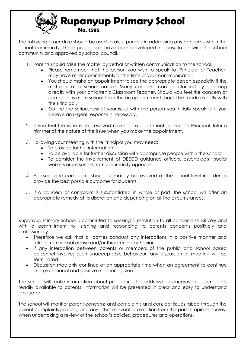

The following procedure should be used to assist parents in addressing any concerns within the school community. These procedures have been developed in consultation with the school community and approved by school council.

- 1. Parents should raise the matter by verbal or written communication to the school.
	- Please remember that the person you wish to speak to (Principal or Teacher) may have other commitments at the time of your communication.
	- You should make an appointment to see the appropriate person especially if the matter is of a serious nature. Many concerns can be clarified by speaking directly with your child/ren's Classroom Teacher. Should you feel the concern or complaint is more serious than this an appointment should be made directly with the Principal.
	- Outline the seriousness of your issue with the person you initially speak to if you believe an urgent response is necessary.
- 2. If you feel the issue is not resolved make an appointment to see the Principal. Inform him/her of the nature of the issue when you make the appointment.
- 3. Following your meeting with the Principal you may need;
	- To provide further information
	- To be available for further discussion with appropriate people within the school.
	- To consider the involvement of DEECD guidance officers, psychologist, social workers or personnel from community agencies.
- 4. All issues and complaints should ultimately be resolved at the school level in order to provide the best possible outcome for students.
- 5. If a concern or complaint is substantiated in whole or part, the school will offer an appropriate remedy at its discretion and depending on all the circumstances.

Rupanyup Primary School is committed to seeking a resolution to all concerns sensitively and with a commitment to listening and responding to parents concerns positively and professionally.

- Therefore we ask that all parties conduct any interactions in a positive manner and refrain from verbal abuse and/or threatening behavior.
- If any interaction between parents or members of the public and school based personnel involves such unacceptable behaviour, any discussion or meeting will be terminated.
- Discussion may only continue at an appropriate time when an agreement to continue in a professional and positive manner is given.

The school will make information about procedures for addressing concerns and complaints readily available to parents. Information will be presented in clear and easy to understand language.

The school will monitor parent concerns and complaints and consider issues raised through the parent complaints process, and any other relevant information from the parent opinion survey, when undertaking a review of the school's policies, procedures and operations.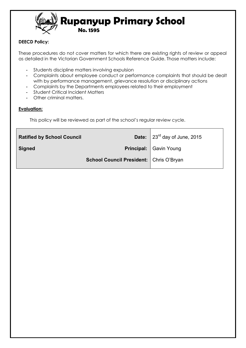

#### **DEECD Policy:**

These procedures do not cover matters for which there are existing rights of review or appeal as detailed in the Victorian Government Schools Reference Guide. Those matters include:

- Students discipline matters involving expulsion
- Complaints about employee conduct or performance complaints that should be dealt with by performance management, grievance resolution or disciplinary actions
- Complaints by the Departments employees related to their employment
- Student Critical Incident Matters
- Other criminal matters.

#### **Evaluation:**

This policy will be reviewed as part of the school's regular review cycle.

| <b>Ratified by School Council</b> |                                                  | <b>Date:</b> $\left  23^{rd}$ day of June, 2015 |  |
|-----------------------------------|--------------------------------------------------|-------------------------------------------------|--|
| Signed                            |                                                  | <b>Principal:</b> Gavin Young                   |  |
|                                   | <b>School Council President:   Chris O'Bryan</b> |                                                 |  |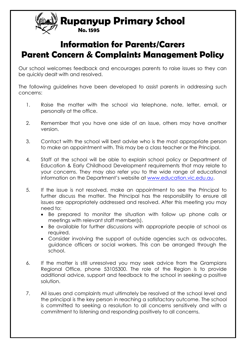

**Information for Parents/Carers Parent Concern & Complaints Management Policy** 

 **No. 1595** 

Our school welcomes feedback and encourages parents to raise issues so they can be quickly dealt with and resolved.

The following guidelines have been developed to assist parents in addressing such concerns:

- 1. Raise the matter with the school via telephone, note, letter, email, or personally at the office.
- 2. Remember that you have one side of an issue, others may have another version.
- 3. Contact with the school will best advise who is the most appropriate person to make an appointment with. This may be a class teacher or the Principal.
- 4. Staff at the school will be able to explain school policy or Department of Education & Early Childhood Development requirements that may relate to your concerns. They may also refer you to the wide range of educational information on the Department's website at [www.education.vic.edu.au.](http://www.education.vic.edu.au/)
- 5. If the issue is not resolved, make an appointment to see the Principal to further discuss the matter. The Principal has the responsibility to ensure all issues are appropriately addressed and resolved. After this meeting you may need to:
	- Be prepared to monitor the situation with follow up phone calls or meetings with relevant staff member(s).
	- Be available for further discussions with appropriate people at school as required.
	- Consider involving the support of outside agencies such as advocates, guidance officers or social workers. This can be arranged through the school.
- 6. If the matter is still unresolved you may seek advice from the Grampians Regional Office, phone 53105300. The role of the Region is to provide additional advice, support and feedback to the school in seeking a positive solution.
- 7. All issues and complaints must ultimately be resolved at the school level and the principal is the key person in reaching a satisfactory outcome. The school is committed to seeking a resolution to all concerns sensitively and with a commitment to listening and responding positively to all concerns.